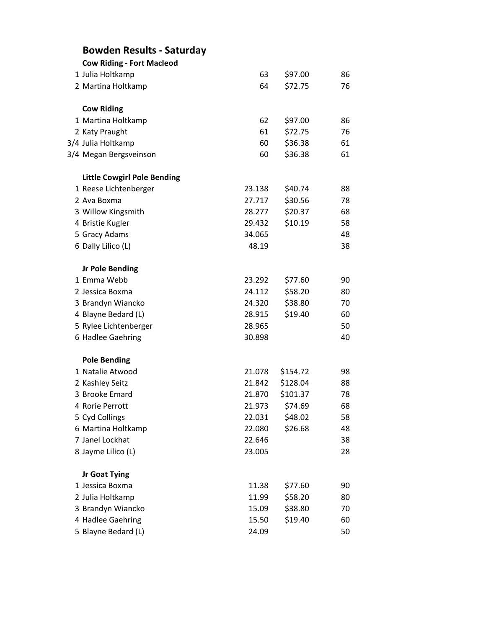| <b>Bowden Results - Saturday</b>   |        |          |    |
|------------------------------------|--------|----------|----|
| <b>Cow Riding - Fort Macleod</b>   |        |          |    |
| 1 Julia Holtkamp                   | 63     | \$97.00  | 86 |
| 2 Martina Holtkamp                 | 64     | \$72.75  | 76 |
| <b>Cow Riding</b>                  |        |          |    |
| 1 Martina Holtkamp                 | 62     | \$97.00  | 86 |
| 2 Katy Praught                     | 61     | \$72.75  | 76 |
| 3/4 Julia Holtkamp                 | 60     | \$36.38  | 61 |
| 3/4 Megan Bergsveinson             | 60     | \$36.38  | 61 |
| <b>Little Cowgirl Pole Bending</b> |        |          |    |
| 1 Reese Lichtenberger              | 23.138 | \$40.74  | 88 |
| 2 Ava Boxma                        | 27.717 | \$30.56  | 78 |
| 3 Willow Kingsmith                 | 28.277 | \$20.37  | 68 |
| 4 Bristie Kugler                   | 29.432 | \$10.19  | 58 |
| 5 Gracy Adams                      | 34.065 |          | 48 |
| 6 Dally Lilico (L)                 | 48.19  |          | 38 |
| <b>Jr Pole Bending</b>             |        |          |    |
| 1 Emma Webb                        | 23.292 | \$77.60  | 90 |
| 2 Jessica Boxma                    | 24.112 | \$58.20  | 80 |
| 3 Brandyn Wiancko                  | 24.320 | \$38.80  | 70 |
| 4 Blayne Bedard (L)                | 28.915 | \$19.40  | 60 |
| 5 Rylee Lichtenberger              | 28.965 |          | 50 |
| 6 Hadlee Gaehring                  | 30.898 |          | 40 |
| <b>Pole Bending</b>                |        |          |    |
| 1 Natalie Atwood                   | 21.078 | \$154.72 | 98 |
| 2 Kashley Seitz                    | 21.842 | \$128.04 | 88 |
| 3 Brooke Emard                     | 21.870 | \$101.37 | 78 |
| 4 Rorie Perrott                    | 21.973 | \$74.69  | 68 |
| 5 Cyd Collings                     | 22.031 | \$48.02  | 58 |
| 6 Martina Holtkamp                 | 22.080 | \$26.68  | 48 |
| 7 Janel Lockhat                    | 22.646 |          | 38 |
| 8 Jayme Lilico (L)                 | 23.005 |          | 28 |
| Jr Goat Tying                      |        |          |    |
| 1 Jessica Boxma                    | 11.38  | \$77.60  | 90 |
| 2 Julia Holtkamp                   | 11.99  | \$58.20  | 80 |
| 3 Brandyn Wiancko                  | 15.09  | \$38.80  | 70 |
| 4 Hadlee Gaehring                  | 15.50  | \$19.40  | 60 |
| 5 Blayne Bedard (L)                | 24.09  |          | 50 |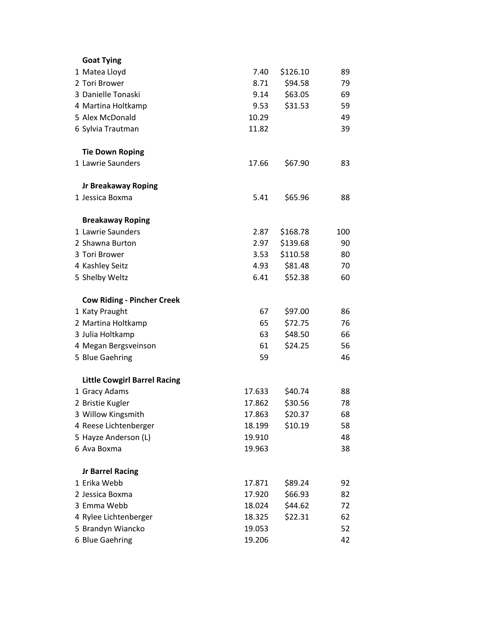| <b>Goat Tying</b>                   |        |          |     |
|-------------------------------------|--------|----------|-----|
| 1 Matea Lloyd                       | 7.40   | \$126.10 | 89  |
| 2 Tori Brower                       | 8.71   | \$94.58  | 79  |
| 3 Danielle Tonaski                  | 9.14   | \$63.05  | 69  |
| 4 Martina Holtkamp                  | 9.53   | \$31.53  | 59  |
| 5 Alex McDonald                     | 10.29  |          | 49  |
| 6 Sylvia Trautman                   | 11.82  |          | 39  |
| <b>Tie Down Roping</b>              |        |          |     |
| 1 Lawrie Saunders                   | 17.66  | \$67.90  | 83  |
| <b>Jr Breakaway Roping</b>          |        |          |     |
| 1 Jessica Boxma                     | 5.41   | \$65.96  | 88  |
| <b>Breakaway Roping</b>             |        |          |     |
| 1 Lawrie Saunders                   | 2.87   | \$168.78 | 100 |
| 2 Shawna Burton                     | 2.97   | \$139.68 | 90  |
| 3 Tori Brower                       | 3.53   | \$110.58 | 80  |
| 4 Kashley Seitz                     | 4.93   | \$81.48  | 70  |
| 5 Shelby Weltz                      | 6.41   | \$52.38  | 60  |
| <b>Cow Riding - Pincher Creek</b>   |        |          |     |
| 1 Katy Praught                      | 67     | \$97.00  | 86  |
| 2 Martina Holtkamp                  | 65     | \$72.75  | 76  |
| 3 Julia Holtkamp                    | 63     | \$48.50  | 66  |
| 4 Megan Bergsveinson                | 61     | \$24.25  | 56  |
| 5 Blue Gaehring                     | 59     |          | 46  |
| <b>Little Cowgirl Barrel Racing</b> |        |          |     |
| 1 Gracy Adams                       | 17.633 | \$40.74  | 88  |
| 2 Bristie Kugler                    | 17.862 | \$30.56  | 78  |
| 3 Willow Kingsmith                  | 17.863 | \$20.37  | 68  |
| 4 Reese Lichtenberger               | 18.199 | \$10.19  | 58  |
| 5 Hayze Anderson (L)                | 19.910 |          | 48  |
| 6 Ava Boxma                         | 19.963 |          | 38  |
| <b>Jr Barrel Racing</b>             |        |          |     |
| 1 Erika Webb                        | 17.871 | \$89.24  | 92  |
| 2 Jessica Boxma                     | 17.920 | \$66.93  | 82  |
| 3 Emma Webb                         | 18.024 | \$44.62  | 72  |
| 4 Rylee Lichtenberger               | 18.325 | \$22.31  | 62  |
| 5 Brandyn Wiancko                   | 19.053 |          | 52  |
| 6 Blue Gaehring                     | 19.206 |          | 42  |